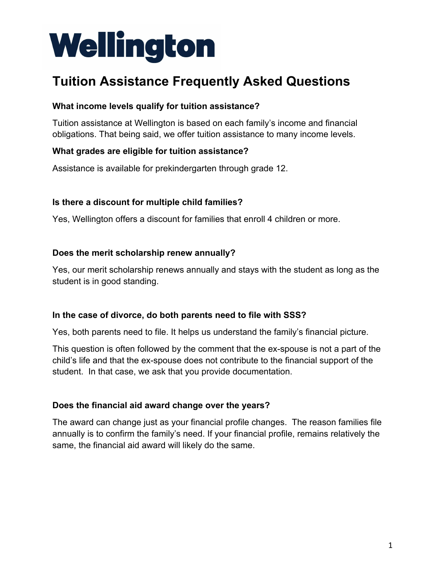# Wellington

# **Tuition Assistance Frequently Asked Questions**

## **What income levels qualify for tuition assistance?**

Tuition assistance at Wellington is based on each family's income and financial obligations. That being said, we offer tuition assistance to many income levels.

## **What grades are eligible for tuition assistance?**

Assistance is available for prekindergarten through grade 12.

## **Is there a discount for multiple child families?**

Yes, Wellington offers a discount for families that enroll 4 children or more.

#### **Does the merit scholarship renew annually?**

Yes, our merit scholarship renews annually and stays with the student as long as the student is in good standing.

#### **In the case of divorce, do both parents need to file with SSS?**

Yes, both parents need to file. It helps us understand the family's financial picture.

This question is often followed by the comment that the ex-spouse is not a part of the child's life and that the ex-spouse does not contribute to the financial support of the student. In that case, we ask that you provide documentation.

# **Does the financial aid award change over the years?**

The award can change just as your financial profile changes. The reason families file annually is to confirm the family's need. If your financial profile, remains relatively the same, the financial aid award will likely do the same.